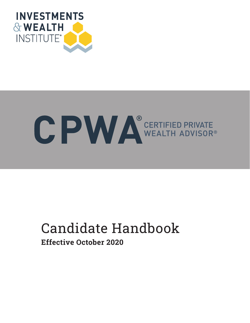

# C PWA CERTIFIED PRIVATE

# Candidate Handbook Effective October 2020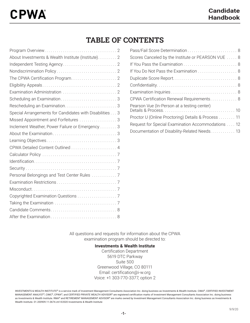# TABLE OF CONTENTS

| About Investments & Wealth Institute (Institute) 2      |  |
|---------------------------------------------------------|--|
|                                                         |  |
|                                                         |  |
|                                                         |  |
|                                                         |  |
|                                                         |  |
|                                                         |  |
| Rescheduling an Examination 3                           |  |
| Special Arrangements for Candidates with Disabilities 3 |  |
| Missed Appointment and Forfeitures  3                   |  |
| Inclement Weather, Power Failure or Emergency 3         |  |
|                                                         |  |
|                                                         |  |
|                                                         |  |
|                                                         |  |
|                                                         |  |
|                                                         |  |
| Personal Belongings and Test Center Rules  7            |  |
|                                                         |  |
|                                                         |  |
|                                                         |  |
|                                                         |  |
|                                                         |  |
|                                                         |  |

| Pass/Fail Score Determination 8                    |
|----------------------------------------------------|
| Scores Canceled by the Institute or PEARSON VUE  8 |
|                                                    |
| If You Do Not Pass the Examination 8               |
|                                                    |
|                                                    |
|                                                    |
| CPWA Certification Renewal Requirements 8          |
| Pearson Vue (In-Person at a testing center)        |
| Proctor U (Online Proctoring) Details & Process 11 |
| Request for Special Examination Accommodations 12  |
| Documentation of Disability-Related Needs. 13      |

All questions and requests for information about the CPWA examination program should be directed to:

### **Investments & Wealth Institute**

Certification Department 5619 DTC Parkway Suite 500 Greenwood Village, CO 80111 Email: certification@i-w.org Voice: +1 303-770-3377, option 2

INVESTMENTS & WEALTH INSTITUTE® is a service mark of Investment Management Consultants Association Inc. doing business as Investments & Wealth Institute. CIMA®, CERTIFIED INVESTMENT MANAGEMENT ANALYST®, CIMC®, CPWA®, and CERTIFIED PRIVATE WEALTH ADVISOR® are registered certification marks of Investment Management Consultants Association Inc. doing business as Investments & Wealth Institute. RMA® and RETIREMENT MANAGEMENT ADVISOR® are marks owned by Investment Management Consultants Association Inc. doing business as Investments & Wealth Institute. 01.200909.11.0674.ctrl ©2020 Investments & Wealth Institute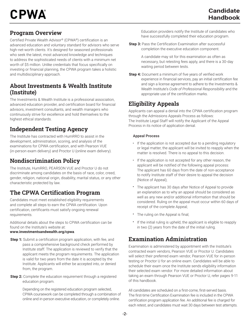# Program Overview

Certified Private Wealth Advisor® (CPWA®) certification is an advanced education and voluntary standard for advisors who serve high-net-worth clients. It's designed for seasoned professionals who seek the latest, most advanced knowledge and techniques to address the sophisticated needs of clients with a minimum net worth of \$5 million. Unlike credentials that focus specifically on investing or financial planning, the CPWA program takes a holistic and multidisciplinary approach.

### About Investments & Wealth Institute (Institute)

The Investments & Wealth Institute is a professional association, advanced education provider, and certification board for financial advisors, investment consultants, and wealth managers who continuously strive for excellence and hold themselves to the highest ethical standards.

# Independent Testing Agency

The Institute has contracted with HumRRO to assist in the development, administration, scoring, and analysis of the examinations for CPWA certification, and with Pearson VUE (in-person exam delivery) and Proctor U (online exam delivery).

# Nondiscrimination Policy

The Institute, HumRRO, PEARSON VUE and Proctor U do not discriminate among candidates on the basis of race, color, creed, gender, religion, national origin, disability, marital status, or any other characteristic protected by law.

# The CPWA Certification Program

Candidates must meet established eligibility requirements and complete all steps to earn the CPWA certification. Upon certification, certificants must satisfy ongoing renewal requirements.

Additional details about the steps to CPWA certification can be found on the Institute's website at: **www.investmentsandwealth.org/cpwa**.

- **Step 1:** Submit a certification program application, with fee, and pass a comprehensive background check performed by Institute staff. The application is reviewed to verify that the applicant meets the program requirements. The application is valid for two years from the date it is accepted by the Institute. Applicants will either be accepted into, or denied from, the program.
- **Step 2:** Complete the education requirement through a registered education program.

Depending on the registered education program selected, CPWA coursework can be completed through a combination of online and in-person executive education, or completely online.

Education providers notify the Institute of candidates who have successfully completed their education program.

**Step 3:** Pass the Certification Examination after successful completion the executive education component.

> A candidate may sit for this examination as often as necessary, but retesting fees apply, and there is a 30-day waiting period between tests.

**Step 4:** Document a minimum of five years of verified work experience in financial services, pay an initial certification fee and sign a license agreement to adhere to the Investments & Wealth Institute's *Code of Professional Responsibility* and the appropriate use of the certification marks.

# Eligibility Appeals

Applicants can appeal a denial into the CPWA certification program through the Admissions Appeals Process as follows: The Institute Legal Staff will notify the Applicant of the Appeal Process in its notice of application denial.

### Appeal Process

- If the application is not accepted due to a pending regulatory or legal matter, the applicant will be invited to reapply when the matter is resolved. There is no appeal to this decision.
- If the application is not accepted for any other reason, the applicant will be notified of the following appeal process: The applicant has 60 days from the date of non-acceptance to notify Institute staff of their desire to appeal the decision (Notice of Appeal);
- The applicant has 30 days after Notice of Appeal to provide an explanation as to why an appeal should be considered as well as any new and/or additional information that should be considered. Ruling on the appeal must occur within 60 days of receipt of the complete Appeal;
- The ruling on the Appeal is final;
- If the initial ruling is upheld, the applicant is eligible to reapply in two (2) years from the date of the initial ruling.

# Examination Administration

Examination is administered by appointment with the Institute's contracted exam vendors, Pearson VUE or Proctor U. Candidates will select their preferred exam vendor, Pearson VUE for in-person testing or Proctor U for an online exam. Candidates will be able to schedule their exam once the Institute sends eligibility information their selected exam vendor. For more detailed information about taking an exam through Pearson VUE or Proctor U, refer pages 9-11 of this handbook.

All candidates are scheduled on a first-come, first-served basis. The first-time Certification Examination fee is included in the CPWA certification program application fee. An additional fee is charged for each retest, and candidates must wait 30 days between test attempts.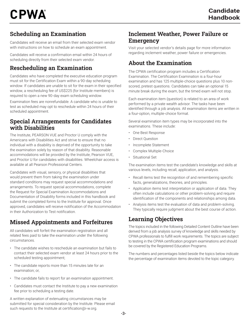# Scheduling an Examination

Candidates will receive an email from their selected exam vendor with instructions on how to schedule an exam appointment.

Candidates will receive a confirmation email within 24 hours of scheduling directly from their selected exam vendor.

# Rescheduling an Examination

Candidates who have completed the executive education program must sit for the Certification Exam within a 90-day scheduling window. If candidates are unable to sit for the exam in their specified window, a rescheduling fee of US\$225 (for Institute members) is required to open a new 90-day exam scheduling window.

Examination fees are nonrefundable. A candidate who is unable to test as scheduled may opt to reschedule within 24 hours of their scheduled appointment.

### Special Arrangements for Candidates with Disabilities

The Institute, PEARSON VUE and Proctor U comply with the Americans with Disabilities Act and strive to ensure that no individual with a disability is deprived of the opportunity to take the examination solely by reason of that disability. Reasonable accommodations will be provided by the Institute, Pearson VUE, and Proctor U for candidates with disabilities. Wheelchair access is available at all Pearson Professional Centers.

Candidates with visual, sensory, or physical disabilities that would prevent them from taking the examination under standard conditions may request special accommodations and arrangements. To request special accommodations, complete the Request for Special Examination Accommodations and Documentation of Disability forms included in this handbook and submit the completed forms to the Institute for approval. Once approved, candidates will receive notification of the Accommodation in their Authorization to Test notification.

# Missed Appointments and Forfeitures

All candidates will forfeit the examination registration and all related fees paid to take the examination under the following circumstances.

- The candidate wishes to reschedule an examination but fails to contact their selected exam vendor at least 24 hours prior to the scheduled testing appointment;
- The candidate reports more than 15 minutes late for an examination; or,
- The candidate fails to report for an examination appointment.
- Candidates must contact the Institute to pay a new examination fee prior to scheduling a testing date.

A written explanation of extenuating circumstances may be submitted for special consideration by the Institute. Please email such requests to the Institute at certification@i-w.org.

# Inclement Weather, Power Failure or Emergency

Visit your selected vendor's details page for more information regarding inclement weather, power failure or emergencies.

# About the Examination

The CPWA certification program includes a Certification Examination. The Certification Examination is a four-hour examination and has 125 multiple-choice questions plus 10 nonscored, pretest questions. Candidates can take an optional 15 minute break during the exam, but the timed exam will not stop.

Each examination item (question) is related to an area of work performed by a private wealth advisor. The tasks have been identified through a job analysis. All examination items are written in a four-option, multiple-choice format.

Several examination item types may be incorporated into the examinations. These include:

- One Best Response
- Direct Question
- Incomplete Statement
- Complex Multiple-Choice
- Situational Set

The examination items test the candidate's knowledge and skills at various levels, including recall, application, and analysis.

- Recall items test the recognition of and remembering specific facts, generalizations, theories, and principles.
- Application items test interpretation or application of data. They often include calculations or other problem-solving and require identification of the components and relationships among data.
- Analysis items test the evaluation of data and problem-solving. They typically require judgment about the best course of action.

# Learning Objectives

The topics included in the following Detailed Content Outline have been derived from a job analysis survey of knowledge and skills needed by CPWA professionals to fulfill work requirements. The topics are subject to testing in the CPWA certification program examinations and should be covered by the Registered Education Programs.

The numbers and percentages listed beside the topics below indicate the percentage of examination items devoted to the topic category.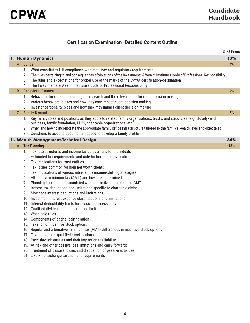### Certification Examination–Detailed Content Outline

|                   |                                              |                                                                                                                                                                                                                                                                                                                                                                                                                                                                                                                                                                                                                                                                                                                                                                                                                                                                                                                                                                                                                                                                                                                                                                                                       | % of Exam |
|-------------------|----------------------------------------------|-------------------------------------------------------------------------------------------------------------------------------------------------------------------------------------------------------------------------------------------------------------------------------------------------------------------------------------------------------------------------------------------------------------------------------------------------------------------------------------------------------------------------------------------------------------------------------------------------------------------------------------------------------------------------------------------------------------------------------------------------------------------------------------------------------------------------------------------------------------------------------------------------------------------------------------------------------------------------------------------------------------------------------------------------------------------------------------------------------------------------------------------------------------------------------------------------------|-----------|
| I. Human Dynamics |                                              |                                                                                                                                                                                                                                                                                                                                                                                                                                                                                                                                                                                                                                                                                                                                                                                                                                                                                                                                                                                                                                                                                                                                                                                                       |           |
|                   | A. Ethics                                    |                                                                                                                                                                                                                                                                                                                                                                                                                                                                                                                                                                                                                                                                                                                                                                                                                                                                                                                                                                                                                                                                                                                                                                                                       | 4%        |
|                   | 1.<br>2.<br>3.<br>4.                         | What constitutes full compliance with statutory and regulatory requirements<br>The rules pertaining to and consequences of violations of the Investments & Wealth Institute's Code of Professional Responsibility<br>The rules and expectations for proper use of the marks of the CPWA certification/designation<br>The Investments & Wealth Institute's Code of Professional Responsibility<br><b>Behavioral Finance</b>                                                                                                                                                                                                                                                                                                                                                                                                                                                                                                                                                                                                                                                                                                                                                                            | 4%        |
| B.                |                                              |                                                                                                                                                                                                                                                                                                                                                                                                                                                                                                                                                                                                                                                                                                                                                                                                                                                                                                                                                                                                                                                                                                                                                                                                       |           |
|                   | 1.<br>2.<br>3.                               | Behavioral finance and neurological research and the relevance to financial decision making<br>Various behavioral biases and how they may impact client decision making<br>Investor personality types and how they may impact client decision making                                                                                                                                                                                                                                                                                                                                                                                                                                                                                                                                                                                                                                                                                                                                                                                                                                                                                                                                                  |           |
|                   |                                              | C. Family Dynamics                                                                                                                                                                                                                                                                                                                                                                                                                                                                                                                                                                                                                                                                                                                                                                                                                                                                                                                                                                                                                                                                                                                                                                                    | 5%        |
|                   | 1.<br>2.<br>3.                               | Key family roles and positions as they apply to related family organizations, trusts, and structures (e.g. closely-held<br>business, family foundation, LLCs, charitable organizations, etc.)<br>When and how to incorporate the appropriate family office infrastructure tailored to the family's wealth level and objectives<br>Questions to ask and documents needed to develop a family profile                                                                                                                                                                                                                                                                                                                                                                                                                                                                                                                                                                                                                                                                                                                                                                                                   |           |
|                   |                                              | II. Wealth Management-Technical Design                                                                                                                                                                                                                                                                                                                                                                                                                                                                                                                                                                                                                                                                                                                                                                                                                                                                                                                                                                                                                                                                                                                                                                | 34%       |
|                   | 1.                                           | A. Tax Planning<br>Tax rate structures and income tax calculations for individuals                                                                                                                                                                                                                                                                                                                                                                                                                                                                                                                                                                                                                                                                                                                                                                                                                                                                                                                                                                                                                                                                                                                    | 13%       |
|                   | 2.<br>3.<br>4.<br>5.<br>6.<br>7.<br>8.<br>9. | Estimated tax requirements and safe harbors for individuals<br>Tax implications for trust entities<br>Tax issues common for high net worth clients<br>Tax implications of various intra-family income-shifting strategies<br>Alternative minimum tax (AMT) and how it is determined<br>Planning implications associated with alternative minimum tax (AMT)<br>Income tax deductions and limitations specific to charitable giving<br>Mortgage interest deductions and limitations<br>10. Investment interest expense classifications and limitations<br>11. Interest deductibility limits for passive business activities<br>12. Qualified dividend income rules and limitations<br>13. Wash sale rules<br>14. Components of capital gain taxation<br>15. Taxation of incentive stock options<br>16. Regular and alternative minimum tax (AMT) differences in incentive stock options<br>17. Taxation of non-qualified stock options<br>18. Pass-through entities and their impact on tax liability<br>19. At-risk and other passive loss limitations and carry-forwards<br>20. Treatment of passive losses and disposition of passive activities<br>21. Like-kind exchange taxation and requirements |           |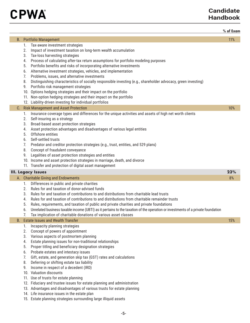

### **Candidate Handbook**

|           |                                                                                                                                                                                                                                                                                                                                                                                                                                                                                                                                                                                                                                                                                                                                                                                                                                                | % of Exam |
|-----------|------------------------------------------------------------------------------------------------------------------------------------------------------------------------------------------------------------------------------------------------------------------------------------------------------------------------------------------------------------------------------------------------------------------------------------------------------------------------------------------------------------------------------------------------------------------------------------------------------------------------------------------------------------------------------------------------------------------------------------------------------------------------------------------------------------------------------------------------|-----------|
|           | <b>B.</b> Portfolio Management                                                                                                                                                                                                                                                                                                                                                                                                                                                                                                                                                                                                                                                                                                                                                                                                                 | 11%       |
|           | Tax-aware investment strategies<br>1.<br>Impact of investment taxation on long-term wealth accumulation<br>2.<br>Tax-loss harvesting strategies<br>3.<br>Process of calculating after-tax return assumptions for portfolio modeling purposes<br>4.<br>Portfolio benefits and risks of incorporating alternative investments<br>5.<br>Alternative investment strategies, vehicles, and implementation<br>6.<br>Problems, issues, and alternative investments<br>7.<br>Distinguishing characteristics of socially responsible investing (e.g., shareholder advocacy, green investing)<br>8.<br>Portfolio risk management strategies<br>9.<br>10. Options hedging strategies and their impact on the portfolio<br>11. Non-option hedging strategies and their impact on the portfolio<br>12. Liability-driven investing for individual portfolios |           |
| C.        | <b>Risk Management and Asset Protection</b>                                                                                                                                                                                                                                                                                                                                                                                                                                                                                                                                                                                                                                                                                                                                                                                                    | 10%       |
|           | Insurance coverage types and differences for the unique activities and assets of high net worth clients<br>1.<br>Self-insuring as a strategy<br>2.<br>Broad-based asset protection strategies<br>3.<br>Asset protection advantages and disadvantages of various legal entities<br>4.<br>Offshore entities<br>5.<br>Self-settled trusts<br>6.<br>Predator and creditor protection strategies (e.g., trust, entities, and 529 plans)<br>7.<br>Concept of fraudulent conveyance<br>8.<br>Legalities of asset protection strategies and entities<br>9.<br>10. Income and asset protection strategies in marriage, death, and divorce<br>11. Transfer and protection of digital asset management                                                                                                                                                    |           |
|           | <b>III. Legacy Issues</b>                                                                                                                                                                                                                                                                                                                                                                                                                                                                                                                                                                                                                                                                                                                                                                                                                      | 23%       |
|           | A. Charitable Giving and Endowments                                                                                                                                                                                                                                                                                                                                                                                                                                                                                                                                                                                                                                                                                                                                                                                                            | 8%        |
|           | Differences in public and private charities<br>1.<br>Rules for and taxation of donor-advised funds<br>2.<br>Rules for and taxation of contributions to and distributions from charitable lead trusts<br>3.<br>Rules for and taxation of contributions to and distributions from charitable remainder trusts<br>4.<br>Rules, requirements, and taxation of public and private charities and private foundations<br>5.<br>Unrelated business taxable income (UBTI) as it pertains to the taxation of the operation or investments of a private foundation<br>6.<br>Tax implication of charitable donations of various asset classes                                                                                                                                                                                                              |           |
| <b>B.</b> | <b>Estate Issues and Wealth Transfer</b>                                                                                                                                                                                                                                                                                                                                                                                                                                                                                                                                                                                                                                                                                                                                                                                                       | 15%       |
|           | Incapacity planning strategies<br>1.<br>Concept of powers of appointment<br>2.<br>Various aspects of postmortem planning<br>3.<br>Estate planning issues for non-traditional relationships<br>4.<br>Proper titling and beneficiary designation strategies<br>5.<br>Probate estates and intestacy issues<br>6.<br>Gift, estate, and generation skip tax (GST) rates and calculations<br>7.<br>Deferring or shifting estate tax liability<br>8.<br>Income in respect of a decedent (IRD)<br>9.<br>10. Valuation discounts<br>11. Use of trusts for estate planning<br>12. Fiduciary and trustee issues for estate planning and administration<br>13. Advantages and disadvantages of various trusts for estate planning<br>14. Life insurance issues in the estate plan<br>15. Estate planning strategies surrounding large illiquid assets      |           |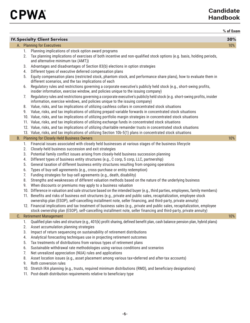|           |     |                                                                                                                                                                                                          | % of Exam |
|-----------|-----|----------------------------------------------------------------------------------------------------------------------------------------------------------------------------------------------------------|-----------|
|           |     | <b>IV. Specialty Client Services</b>                                                                                                                                                                     | 30%       |
|           |     | A. Planning for Executives                                                                                                                                                                               | 10%       |
|           | 1.  | Planning implications of stock option award programs                                                                                                                                                     |           |
|           | 2.  | Tax planning implications of exercises of both incentive and non-qualified stock options (e.g. basis, holding periods,<br>and alternative minimum tax (AMT))                                             |           |
|           | 3.  | Advantages and disadvantages of Section 83(b) elections in option strategies                                                                                                                             |           |
|           | 4.  | Different types of executive deferred compensation plans                                                                                                                                                 |           |
|           | 5.  | Equity compensation plans (restricted stock, phantom stock, and performance share plans), how to evaluate them in<br>different scenarios, and the tax implications of each                               |           |
|           | 6.  | Regulatory rules and restrictions governing a corporate executive's publicly held stock (e.g., short-swing profits,<br>insider information, exercise window, and policies unique to the issuing company) |           |
|           | 7.  | Regulatory rules and restrictions governing a corporate executive's publicly held stock (e.g. short-swing profits, insider<br>information, exercise windows, and policies unique to the issuing company) |           |
|           | 8.  | Value, risks, and tax implications of utilizing cashless collars in concentrated stock situations                                                                                                        |           |
|           | 9.  | Value, risks, and tax implications of utilizing prepaid variable forwards in concentrated stock situations                                                                                               |           |
|           |     | 10. Value, risks, and tax implications of utilizing portfolio margin strategies in concentrated stock situations                                                                                         |           |
|           |     | 11. Value, risks, and tax implications of utilizing exchange funds in concentrated stock situations                                                                                                      |           |
|           |     | 12. Value, risks, and tax implications of utilizing charitable remainder trusts in concentrated stock situations                                                                                         |           |
|           |     | 13. Value, risks, and tax implications of utilizing Section 10b-5(1) plans in concentrated stock situations                                                                                              |           |
| <b>B.</b> |     | <b>Planning for Closely Held Business Owners</b>                                                                                                                                                         | 10%       |
|           | 1.  | Financial issues associated with closely held businesses at various stages of the business lifecycle                                                                                                     |           |
|           | 2.  | Closely-held business succession and exit strategies                                                                                                                                                     |           |
|           | 3.  | Potential family conflict issues arising from closely-held business succession planning                                                                                                                  |           |
|           | 4.  | Different types of business entity structures (e.g., C corp, S corp, LLC, partnership)                                                                                                                   |           |
|           | 5.  | General taxation of different business entity structures resulting from ongoing operations                                                                                                               |           |
|           | 6.  | Types of buy-sell agreements (e.g., cross-purchase or entity redemption)                                                                                                                                 |           |
|           | 7.  | Funding strategies for buy-sell agreements (e.g., death, disability)                                                                                                                                     |           |
|           | 8.  | Strengths and weaknesses of different valuation methods based on the nature of the underlying business                                                                                                   |           |
|           | 9.  | When discounts or premiums may apply to a business valuation                                                                                                                                             |           |
|           | 10. | Difference in valuation and sale structure based on the intended buyer (e.g., third parties, employees, family members)                                                                                  |           |
|           |     | 11. Benefits and risks of business exit structures (e.g., private and public sales, recapitalization, employee stock                                                                                     |           |
|           |     | ownership plan (ESOP), self-cancelling installment note, seller financing, and third-party, private annuity)                                                                                             |           |
|           |     | 12. Financial implications and tax treatment of business sales (e.g., private and public sales, recapitalization, employee                                                                               |           |
|           |     | stock ownership plan (ESOP), self-cancelling installment note, seller financing and third-party, private annuity)<br>C. Retirement Management                                                            | 10%       |
|           | 1.  | Qualified plan rules and structure (e.g., 401(k) profit sharing, defined benefit plan, cash balance pension plan, hybrid plans)                                                                          |           |
|           | 2.  | Asset accumulation planning strategies                                                                                                                                                                   |           |
|           | 3.  | Impact of return sequencing on sustainability of retirement distributions                                                                                                                                |           |
|           | 4.  | Analytical forecasting techniques use in projecting retirement outcomes                                                                                                                                  |           |
|           | 5.  | Tax treatments of distributions from various types of retirement plans                                                                                                                                   |           |
|           | 6.  | Sustainable withdrawal rate methodologies using various conditions and scenarios                                                                                                                         |           |
|           | 7.  | Net unrealized appreciation (NUA) rules and applications                                                                                                                                                 |           |
|           | 8.  | Asset location issues (e.g., asset placement among various tax=deferred and after-tax accounts)                                                                                                          |           |
|           | 9.  | Roth conversion rules                                                                                                                                                                                    |           |
|           |     | 10. Stretch IRA planning (e.g., trusts, required minimum distributions (RMD), and beneficiary designations)                                                                                              |           |
|           |     | 11. Post-death distribution requirements relative to beneficiary type                                                                                                                                    |           |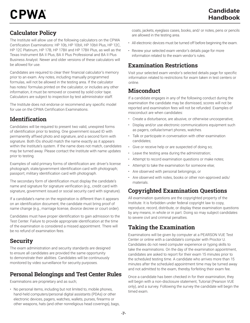# Calculator Policy

The Institute will allow use of the following calculators on the CPWA Certification Examinations: HP 10b, HP 10bII, HP 10bII Plus, HP 12C, HP 12C Platinum, HP 17B, HP 17BII and HP 17BII Plus, as well as the Texas Instrument BA II Plus, BA II Plus Professional and BA II Plus Business Analyst. Newer and older versions of these calculators will be allowed for use.

Candidates are required to clear their financial calculator's memory prior to an exam. Any notes, including manually programmed formulas, will not be allowed in the testing area. If the calculator has notes/ formulas printed on the calculator, or includes any other information, it must be removed or covered by solid color tape. Calculators are subject to inspection by test administrator staff.

The Institute does not endorse or recommend any specific model for use on the CPWA Certification Examinations.

# **Identification**

Candidates will be required to present two valid, unexpired forms of identification prior to testing. One government issued ID with permanently affixed photo and signature, and a second form with signature. Both IDs should match the name exactly as it appears within the Institute's system. If the name does not match, candidates may be turned away. Please contact the Institute with name updates prior to testing.

Examples of valid primary forms of identification are: driver's license photograph; state/government identification card with photograph; passport; military identification card with photograph.

The secondary form of identification must display the candidate's name and signature for signature verification (e.g., credit card with signature, government issued or social security card with signature).

If a candidate's name on the registration is different than it appears on an identification document, the candidate must bring proof of name change (e.g., marriage license, divorce decree or court order).

Candidates must have proper identification to gain admission to the Test Center. Failure to provide appropriate identification at the time of the examination is considered a missed appointment. There will be no refund of examination fees.

# **Security**

The exam administration and security standards are designed to ensure all candidates are provided the same opportunity to demonstrate their abilities. Candidates will be continuously monitored by video surveillance for security purposes.

# Personal Belongings and Test Center Rules

Examinations are proprietary and as such;

• No personal items, including but not limited to, mobile phones, hand-held computers/personal digital assistants (PDAs) or other electronic devices, pagers, watches, wallets, purses, firearms or other weapons, hats (and other nonreligious head coverings), bags, coats, jackets, eyeglass cases, books, and/ or notes, pens or pencils are allowed in the testing area.

- All electronic devices must be turned off before beginning the exam.
- Review your selected exam vendor's details page for more information related to the exam vendor's rules.

# Examination Restrictions

Visit your selected exam vendor's selected details page for specific information related to restrictions for exam taken in test centers or online.

# **Misconduct**

If a candidate engages in any of the following conduct during the examination the candidate may be dismissed, scores will not be reported and examination fees will not be refunded. Examples of misconduct are when candidates:

- Create a disturbance, are abusive, or otherwise uncooperative;
- Display and/or use electronic communications equipment such as pagers, cellular/smart phones, watches.
- Talk or participate in conversation with other examination candidates;
- Give or receive help or are suspected of doing so;
- Leave the testing area during the administration;
- Attempt to record examination questions or make notes;
- Attempt to take the examination for someone else;
- Are observed with personal belongings, or
- Are observed with notes, books or other non-approved aids/ materials.

# Copyrighted Examination Questions

All examination questions are the copyrighted property of the Institute. It is forbidden under federal copyright law to copy, reproduce, record, distribute, or display these examination questions by any means, in whole or in part. Doing so may subject candidates to severe civil and criminal penalties.

# Taking the Examination

Examinations will be given by computer at a PEARSON VUE Test Center or online with a candidate's computer with Proctor U. Candidates do not need computer experience or typing skills to take the examinations. On the day of the examination appointment, candidates are asked to report for their exam 15 minutes prior to the scheduled testing time. A candidate who arrives more than 15 minutes after the scheduled appointment time may be turned away and not admitted to the exam, thereby forfeiting their exam fee.

Once a candidate has been checked in for their examination, they will begin with a non-disclosure statement, Tutorial (Pearson VUE only), and a survey. Following the survey the candidate will begin the timed exam.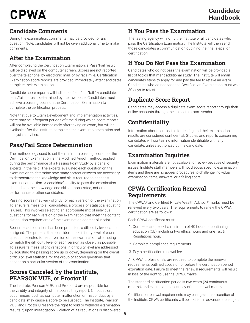### Candidate Comments

During the examination, comments may be provided for any question. Note: candidates will not be given additional time to make comments.

# After the Examination

After completing the Certification Examination, a Pass/Fail result will be displayed on the computer screen. Scores are not reported over the telephone, by electronic mail, or by facsimile. Certification Examination score reports are provided immediately after candidates complete their examination.

Candidate score reports will indicate a "pass" or "fail." A candidate's pass/fail status is determined by the raw score. Candidates must achieve a passing score on the Certification Examination to complete the certification process.

Note that due to Exam Development and implementation activities, there may be infrequent periods of time during which score reports will not be available immediately after taking an exam, but will be available after the Institute completes the exam implementation and analysis activities.

# Pass/Fail Score Determination

The methodology used to set the minimum passing scores for the Certification Examination is the Modified Angoff method, applied during the performance of a Passing Point Study by a panel of experts in the field. The experts evaluated each question on the examination to determine how many correct answers are necessary to demonstrate the knowledge and skills required to pass this examination portion. A candidate's ability to pass the examination depends on the knowledge and skill demonstrated, not on the performance of other candidates.

Passing scores may vary slightly for each version of the examination. To ensure fairness to all candidates, a process of statistical equating is used. This involves selecting an appropriate mix of individual questions for each version of the examination that meet the content distribution requirements of the examination content blueprint.

Because each question has been pretested, a difficulty level can be assigned. The process then considers the difficulty level of each question selected for each version of the examination, attempting to match the difficulty level of each version as closely as possible. To assure fairness, slight variations in difficulty level are addressed by adjusting the passing score up or down, depending on the overall difficulty level statistics for the group of scored questions that appear on a particular version of the examination.

### Scores Canceled by the Institute, PEARSON VUE, or Proctor U

The Institute, Pearson VUE, and Proctor U are responsible for the validity and integrity of the scores they report. On occasion, occurrences, such as computer malfunction or misconduct by a candidate, may cause a score to be suspect. The Institute, Pearson VUE, and Proctor U reserve the right to void or withhold examination results if, upon investigation, violation of its regulations is discovered.

# If You Pass the Examination

The testing agency will notify the Institute of all candidates who pass the Certification Examination. The Institute will then send those candidates a communication outlining the final steps for certification.

# If You Do Not Pass the Examination

Candidates who do not pass the examination will be provided a list of topics that merit additional study. The Institute will email candidates steps to apply for and pay the fee to retake an exam. Candidates who do not pass the Certification Examination must wait 30 days to retest.

# Duplicate Score Report

Candidates may access a duplicate exam score report through their online accounts through their selected exam vendor.

# **Confidentiality**

Information about candidates for testing and their examination results are considered confidential. Studies and reports concerning candidates will contain no information identifiable with any candidate, unless authorized by the candidate.

# Examination Inquiries

Examination materials are not available for review because of security issues. Institute staff members will not discuss specific examination items and there are no appeal procedures to challenge individual examination items, answers, or a failing score.

### CPWA Certification Renewal Requirements

The CPWA® and Certified Private Wealth Advisor® marks must be renewed every two years. The requirements to renew the CPWA certification are as follows:

Each CPWA certificant must:

- 1. Complete and report a minimum of 40 hours of continuing education (CE), including two ethics hours and one Tax & Regulations hour.
- 2. Complete compliance requirements.
- 3. Pay a certification renewal fee.

All CPWA professionals are required to complete the renewal requirements outlined above on or before the certification period expiration date. Failure to meet the renewal requirements will result in loss of the right to use the CPWA marks.

The standard certification period is two years (24 continuous months) and expires on the last day of the renewal month.

Certification renewal requirements may change at the discretion of the Institute. CPWA certificants will be notified in advance of changes.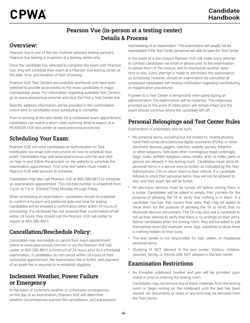# Pearson Vue (in-person at a testing center) Details & Process

### Overview:

Pearson Vue is one of the two Institute selected testing partners. Pearson Vue testing is in-person at a testing center only.

Once the candidate has selected to complete the exam with Pearson Vue, they will schedule their exam at a Pearson Vue testing center at the date, time, and location of their choosing.

Pearson VUE Test Centers are available worldwide and have been selected to provide accessibility to the most candidates in major metropolitan areas. For information regarding available Test Centers, go to www.pearsonvue.com/iwi and click the Find a Test Center link.

Specific address information will be provided in the confirmation notice sent to candidates once scheduling is complete.

Prior to arriving at the test center for a scheduled exam appointment, candidates can watch a short video outlining what to expect at a PEARSON VUE test center at www.pearsonvue.com/iwi.

# Scheduling Your Exam:

Pearson VUE will send candidates an Authorization to Test notification via email with instructions on how to schedule their exam. Candidates may visit www.pearsonvue.com/iwi and click on Sign-In and follow the prompts on the website to schedule the examination appointment. First time test takers must create a Pearson VUE web account to schedule.

Candidates may also call Pearson VUE at 866-286-8812 to schedule an examination appointment. This toll-free number is answered from 7 a.m. to 7 p.m. (Central Time) Monday through Friday.

When scheduling an examination, candidates should be prepared to confirm a location and preferred date and time for testing. Candidates will be emailed a confirmation letter within 24 hours of scheduling. If a candidate has not received their confirmation email within 24 hours, they should call the Pearson VUE call center to inquire at 866-286-8812.

# Cancellation/Reschedule Policy:

Candidates may reschedule or cancel their exam appointment online at www.pearsonvue.com/iwi or via the Pearson VUE call center at 866-286-8812 a minimum of 24 hours prior to a scheduled examination. If candidates do not cancel within 24 hours of their scheduled appointment, the examination fee is forfeit, and payment of an exam fee is required to re-establish eligibility.

### Inclement Weather, Power Failure or Emergency

In the event of inclement weather or unforeseen emergencies on the day of an examination, Pearson VUE will determine whether circumstances warrant the cancellation, and subsequent rescheduling, of an examination. The examination will usually not be rescheduled if the Test Center personnel are able to open the Test Center.

In the event of a site closure Pearson VUE will make every attempt to contact candidates via email or phone prior to the examination to advise them of the closure, and to reschedule another date/ time to test. Every attempt is made to administer the examination as scheduled; however, should an examination be cancelled all scheduled candidates will receive notification regarding rescheduling or reapplication procedures.

If power to a Test Center is temporarily interrupted during an administration, the examination will be restarted. The responses provided up to the point of interruption will remain intact and the exam should continue where the candidate left off.

# Personal Belongings and Test Center Rules

Examination is proprietary and as such;

- No personal items, including but not limited to, mobile phones, hand-held computers/personal digital assistants (PDAs) or other electronic devices, pagers, watches, wallets, purses, firearms or other weapons, hats (and other nonreligious head coverings), bags, coats, jackets, eyeglass cases, books, and/ or notes, pens or pencils are allowed in the testing room. Candidates must store all personal items in a secure area (a locker) as indicated by the Test Administrator (TA) or return them to their vehicle. If a candidate refuses to store their personal items, they will not be allowed to test, and their exam fee will be forfeit.
- All electronic devices must be turned off before storing them in a locker. Candidates will be asked to empty their pockets for the purpose of allowing the TA to verify that nothing is in them. If a candidate has hair that covers their ears, they may be asked to show them for the purpose of allowing the TA to verify that no Bluetooth devices are present. The TA may also ask a candidate to roll up their sleeves to verify that there is no writings on their arms. Before candidates enter the testing room, they will be asked to pat themselves down (for example: arms, legs, waistline) to show there is nothing hidden on their body.
- The test center is not responsible for lost, stolen, or misplaced personal items.
- Studying IS NOT allowed in the test center. Visitors, children, spouses, family, or friends ARE NOT allowed in the test center.

### Examination Restrictions

• An Erasable noteboard booklet and pen will be provided upon check in prior to entering the testing room.

Candidates may not remove any of these materials from the testing room or begin writing on the noteboard until the test has been started. No documents or notes of any kind may be removed from the Test Center.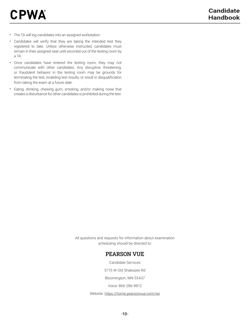- The TA will log candidates into an assigned workstation
- Candidates will verify that they are taking the intended test they registered to take. Unless otherwise instructed, candidates must remain in their assigned seat until escorted out of the testing room by a TA.
- Once candidates have entered the testing room, they may not communicate with other candidates. Any disruptive, threatening, or fraudulent behavior in the testing room may be grounds for terminating the test, invaliding test results, or result in disqualification from taking the exam at a future date.
- Eating, drinking, chewing gum, smoking, and/or making noise that creates a disturbance for other candidates is prohibited during the test.

All questions and requests for information about examination scheduling should be directed to:

### PEARSON VUE

Candidate Services

5715 W Old Shakopee Rd

Bloomington, MN 55437

Voice: 866-286-8812

Website: https://home.pearsonvue.com/iwi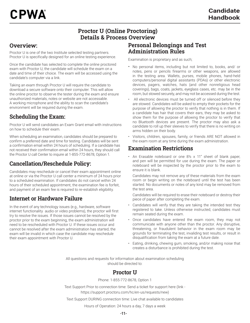### Proctor U (Online Proctoring) Details & Process Overview

### Overview:

Proctor U is one of the two Institute selected testing partners. Proctor U is specifically designed for an online testing experience.

Once the candidate has selected to complete the online proctored exam with Proctor U, the candidate will schedule the exam on a date and time of their choice. The exam will be accessed using the candidate's computer via a link.

Taking an exam through Proctor U will require the candidate to download a secure software onto their computer. This will allow the online proctor to observe the tester during the exam and ensure unauthorized materials, notes or website are not accessable. A working microphone and the ability to scan the candidate's environment will be required during the exam.

# Scheduling the Exam:

Proctor U will send candidates an Exam Grant email with instructions on how to schedule their exam.

When scheduling an examination, candidates should be prepared to confirm a preferred date and time for testing. Candidates will be sent a confirmation email within 24 hours of scheduling. If a candidate has not received their confirmation email within 24 hours, they should call the Proctor U call Center to inquire at 1-855-772-8678, Option 1.

# Cancellation/Reschedule Policy:

Candidates may reschedule or cancel their exam appointment online at online or via the Proctor U call center a minimum of 24 hours prior to a scheduled examination. If candidates do not cancel within 24 hours of their scheduled appointment, the examination fee is forfeit, and payment of an exam fee is required to re-establish eligibility.

### Internet or Hardware Failure

In the event of any technology issues (e.g., hardware, software internet functionality audio or video problems), the proctor will first try to resolve the issues. If those issues cannot be resolved by the proctor prior to the exam beginning, the exam administration will need to be rescheduled with Proctor U. If these issues occur and cannot be resolved after the exam administration has started, the exam will be invalid in which case the candidate may reschedule their exam appointment with Proctor U.

### Personal Belongings and Test Administration Rules

Examination is proprietary and as such;

- No personal items, including but not limited to, books, and/ or notes, pens or pencils firearms or other weapons, are allowed in the testing area. Wallets, purses, mobile phones, hand-held computers/personal digital assistants (PDAs) or other electronic devices, pagers, watches, hats (and other nonreligious head coverings), bags, coats, jackets, eyeglass cases, etc. may be in the room, but stowed securely, and may not be accessed during the test.
- All electronic devices must be turned off or silenced before they are stowed. Candidates will be asked to empty their pockets for the purpose of allowing the proctor to verify that nothing is in them. If a candidate has hair that covers their ears, they may be asked to show them for the purpose of allowing the proctor to verify that no Bluetooth devices are present. The proctor may also ask a candidate to roll up their sleeves to verify that there is no writing on arms hidden on their body.
- Visitors, children, spouses, family, or friends ARE NOT allowed in the exam room at any time during the exam administration.

### Examination Restrictions

• An Erasable noteboard or one 8½ x 11" sheet of blank paper, and pen will be permitted for use during the exam. The paper or noteboard will be inspected by the proctor prior to the exam to ensure it is blank.

Candidates may not remove any of these materials from the exam room or begin writing on the noteboard until the test has been started. No documents or notes of any kind may be removed from the test area.

Candidates will be required to erase their noteboard or destroy their piece of paper after completing the exam.

- Candidates will verify that they are taking the intended test they registered to take. Unless otherwise instructed, candidates must remain seated during the exam.
- Once candidates have entered the exam room, they may not communicate with anyone other than the proctor. Any disruptive, threatening, or fraudulent behavior in the exam room may be grounds for terminating the test, invaliding test results, or result in disqualification from taking the exam at a future date.
- Eating, drinking, chewing gum, smoking, and/or making noise that creates a disturbance is prohibited during the test.

All questions and requests for information about examination scheduling should be directed to:

### Proctor U

Phone: 1-855-772-8678, Option 1

Text Support Prior to connection time: Send a ticket for support here (link https://support.proctoru.com/hc/en-us/requests/new)

Text Support DURING connection time: Live chat available to candidates

Hours of Operation: 24 hours a day, 7 days a week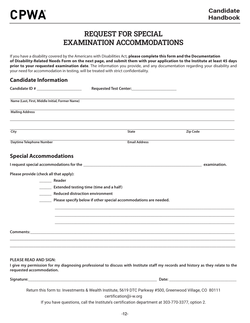# REQUEST FOR SPECIAL EXAMINATION ACCOMMODATIONS

If you have a disability covered by the Americans with Disabilities Act, **please complete this form and the Documentation of Disability-Related Needs Form on the next page, and submit them with your application to the Institute at least 45 days prior to your requested examination date**. The information you provide, and any documentation regarding your disability and your need for accommodation in testing, will be treated with strict confidentiality.

| <b>Candidate Information</b>           |                                                 |                                                                  |                 |              |
|----------------------------------------|-------------------------------------------------|------------------------------------------------------------------|-----------------|--------------|
|                                        | Candidate ID # _________________________        |                                                                  |                 |              |
|                                        | Name (Last, First, Middle Initial, Former Name) |                                                                  |                 |              |
| <b>Mailing Address</b>                 |                                                 |                                                                  |                 |              |
| City                                   |                                                 | <b>State</b>                                                     | <b>Zip Code</b> |              |
| <b>Daytime Telephone Number</b>        |                                                 | <b>Email Address</b>                                             |                 |              |
| <b>Special Accommodations</b>          |                                                 |                                                                  |                 |              |
|                                        |                                                 |                                                                  |                 | examination. |
| Please provide (check all that apply): |                                                 |                                                                  |                 |              |
|                                        | Reader                                          |                                                                  |                 |              |
|                                        | <b>Extended testing time (time and a half)</b>  |                                                                  |                 |              |
|                                        | <b>Reduced distraction environment</b>          |                                                                  |                 |              |
|                                        |                                                 | Please specify below if other special accommodations are needed. |                 |              |
|                                        |                                                 |                                                                  |                 |              |
|                                        |                                                 |                                                                  |                 |              |
|                                        |                                                 | Comments: <u>Comments:</u> Comments: 2004                        |                 |              |
|                                        |                                                 |                                                                  |                 |              |
|                                        |                                                 |                                                                  |                 |              |
|                                        |                                                 |                                                                  |                 |              |

### **PLEASE READ AND SIGN:**

**I give my permission for my diagnosing professional to discuss with Institute staff my records and history as they relate to the requested accommodation.**

**Signature: Community Community Community Community Community Community Community Community Community Community Community Community Community Community Community Community Community Community Community Community Communit** 

Return this form to: Investments & Wealth Institute, 5619 DTC Parkway #500, Greenwood Village, CO 80111

certification@i-w.org

If you have questions, call the Institute's certification department at 303-770-3377, option 2.